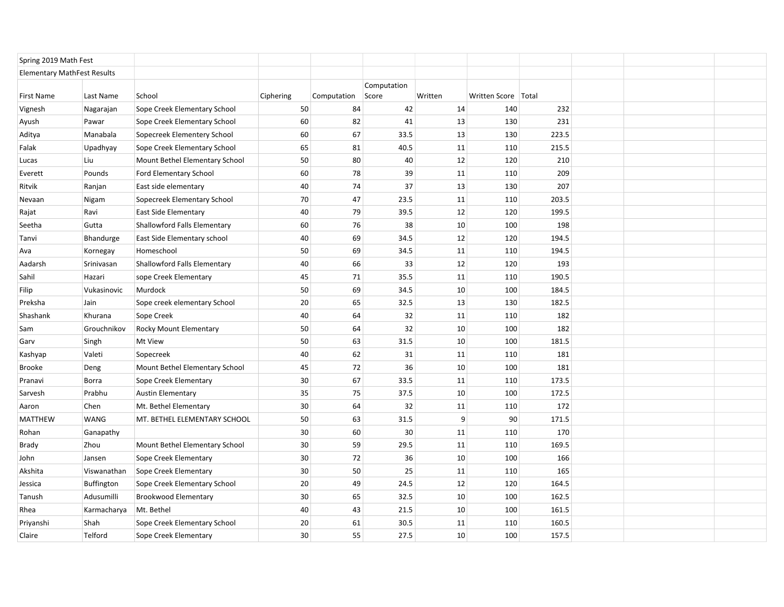| Spring 2019 Math Fest              |             |                                     |           |             |                      |         |                       |       |  |  |
|------------------------------------|-------------|-------------------------------------|-----------|-------------|----------------------|---------|-----------------------|-------|--|--|
| <b>Elementary MathFest Results</b> |             |                                     |           |             |                      |         |                       |       |  |  |
| First Name                         | Last Name   | School                              | Ciphering | Computation | Computation<br>Score | Written | Written Score   Total |       |  |  |
| Vignesh                            | Nagarajan   | Sope Creek Elementary School        | 50        | 84          | 42                   | 14      | 140                   | 232   |  |  |
| Ayush                              | Pawar       | Sope Creek Elementary School        | 60        | 82          | 41                   | 13      | 130                   | 231   |  |  |
| Aditya                             | Manabala    | Sopecreek Elementery School         | 60        | 67          | 33.5                 | 13      | 130                   | 223.5 |  |  |
| Falak                              | Upadhyay    | Sope Creek Elementary School        | 65        | 81          | 40.5                 | 11      | 110                   | 215.5 |  |  |
| Lucas                              | Liu         | Mount Bethel Elementary School      | 50        | 80          | 40                   | 12      | 120                   | 210   |  |  |
| Everett                            | Pounds      | Ford Elementary School              | 60        | 78          | 39                   | 11      | 110                   | 209   |  |  |
| Ritvik                             | Ranjan      | East side elementary                | 40        | 74          | 37                   | 13      | 130                   | 207   |  |  |
| Nevaan                             | Nigam       | Sopecreek Elementary School         | 70        | 47          | 23.5                 | 11      | 110                   | 203.5 |  |  |
| Rajat                              | Ravi        | <b>East Side Elementary</b>         | 40        | 79          | 39.5                 | 12      | 120                   | 199.5 |  |  |
| Seetha                             | Gutta       | <b>Shallowford Falls Elementary</b> | 60        | 76          | 38                   | 10      | 100                   | 198   |  |  |
| Tanvi                              | Bhandurge   | East Side Elementary school         | 40        | 69          | 34.5                 | 12      | 120                   | 194.5 |  |  |
| Ava                                | Kornegay    | Homeschool                          | 50        | 69          | 34.5                 | 11      | 110                   | 194.5 |  |  |
| Aadarsh                            | Srinivasan  | <b>Shallowford Falls Elementary</b> | 40        | 66          | 33                   | 12      | 120                   | 193   |  |  |
| Sahil                              | Hazari      | sope Creek Elementary               | 45        | 71          | 35.5                 | 11      | 110                   | 190.5 |  |  |
| Filip                              | Vukasinovic | Murdock                             | 50        | 69          | 34.5                 | 10      | 100                   | 184.5 |  |  |
| Preksha                            | Jain        | Sope creek elementary School        | 20        | 65          | 32.5                 | 13      | 130                   | 182.5 |  |  |
| Shashank                           | Khurana     | Sope Creek                          | 40        | 64          | 32                   | 11      | 110                   | 182   |  |  |
| Sam                                | Grouchnikov | Rocky Mount Elementary              | 50        | 64          | 32                   | 10      | 100                   | 182   |  |  |
| Garv                               | Singh       | Mt View                             | 50        | 63          | 31.5                 | 10      | 100                   | 181.5 |  |  |
| Kashyap                            | Valeti      | Sopecreek                           | 40        | 62          | 31                   | 11      | 110                   | 181   |  |  |
| Brooke                             | Deng        | Mount Bethel Elementary School      | 45        | 72          | 36                   | 10      | 100                   | 181   |  |  |
| Pranavi                            | Borra       | Sope Creek Elementary               | $30\,$    | 67          | 33.5                 | 11      | 110                   | 173.5 |  |  |
| Sarvesh                            | Prabhu      | <b>Austin Elementary</b>            | 35        | 75          | 37.5                 | 10      | 100                   | 172.5 |  |  |
| Aaron                              | Chen        | Mt. Bethel Elementary               | 30        | 64          | 32                   | 11      | 110                   | 172   |  |  |
| <b>MATTHEW</b>                     | WANG        | MT. BETHEL ELEMENTARY SCHOOL        | 50        | 63          | 31.5                 | 9       | 90                    | 171.5 |  |  |
| Rohan                              | Ganapathy   |                                     | 30        | 60          | 30                   | 11      | 110                   | 170   |  |  |
| Brady                              | Zhou        | Mount Bethel Elementary School      | 30        | 59          | 29.5                 | 11      | 110                   | 169.5 |  |  |
| John                               | Jansen      | Sope Creek Elementary               | 30        | 72          | 36                   | 10      | 100                   | 166   |  |  |
| Akshita                            | Viswanathan | Sope Creek Elementary               | 30        | 50          | 25                   | 11      | 110                   | 165   |  |  |
| Jessica                            | Buffington  | Sope Creek Elementary School        | 20        | 49          | 24.5                 | 12      | 120                   | 164.5 |  |  |
| Tanush                             | Adusumilli  | <b>Brookwood Elementary</b>         | 30        | 65          | 32.5                 | 10      | 100                   | 162.5 |  |  |
| Rhea                               | Karmacharya | Mt. Bethel                          | 40        | 43          | 21.5                 | 10      | 100                   | 161.5 |  |  |
| Priyanshi                          | Shah        | Sope Creek Elementary School        | 20        | 61          | 30.5                 | 11      | 110                   | 160.5 |  |  |
| Claire                             | Telford     | Sope Creek Elementary               | 30        | 55          | 27.5                 | 10      | 100                   | 157.5 |  |  |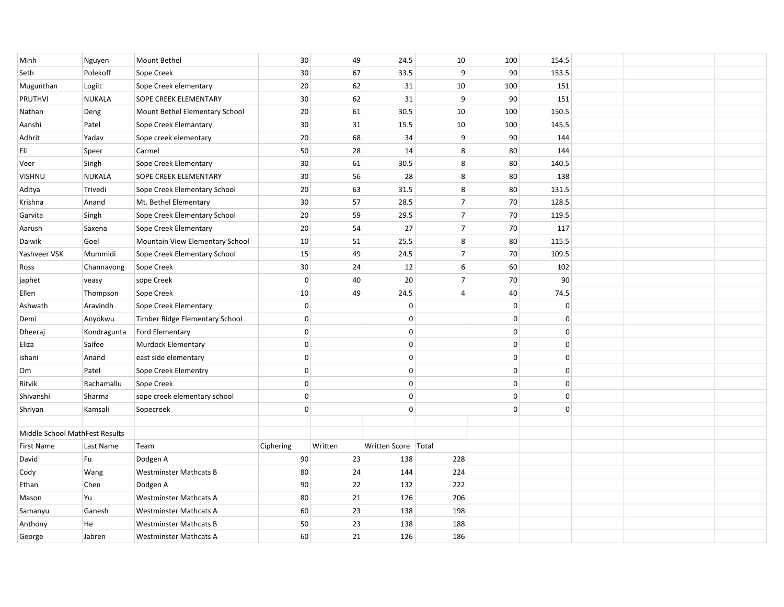| Minh                           | Nguyen        | Mount Bethel                    | 30          | 49      | 24.5                  | 10             | 100          | 154.5       |  |  |
|--------------------------------|---------------|---------------------------------|-------------|---------|-----------------------|----------------|--------------|-------------|--|--|
| Seth                           | Polekoff      | Sope Creek                      | 30          | 67      | 33.5                  | 9              | 90           | 153.5       |  |  |
| Mugunthan                      | Logiit        | Sope Creek elementary           | 20          | 62      | 31                    | 10             | 100          | 151         |  |  |
| PRUTHVI                        | <b>NUKALA</b> | SOPE CREEK ELEMENTARY           | 30          | 62      | 31                    | 9              | 90           | 151         |  |  |
| Nathan                         | Deng          | Mount Bethel Elementary School  | 20          | 61      | 30.5                  | 10             | 100          | 150.5       |  |  |
| Aanshi                         | Patel         | Sope Creek Elemantary           | 30          | 31      | 15.5                  | 10             | 100          | 145.5       |  |  |
| Adhrit                         | Yadav         | Sope creek elementary           | 20          | 68      | 34                    | 9              | 90           | 144         |  |  |
| Eli                            | Speer         | Carmel                          | 50          | 28      | 14                    | 8              | 80           | 144         |  |  |
| Veer                           | Singh         | Sope Creek Elementary           | 30          | 61      | 30.5                  | 8              | 80           | 140.5       |  |  |
| <b>VISHNU</b>                  | <b>NUKALA</b> | SOPE CREEK ELEMENTARY           | $30\,$      | 56      | 28                    | 8              | 80           | 138         |  |  |
| Aditya                         | Trivedi       | Sope Creek Elementary School    | 20          | 63      | 31.5                  | 8              | 80           | 131.5       |  |  |
| Krishna                        | Anand         | Mt. Bethel Elementary           | 30          | 57      | 28.5                  | $\overline{7}$ | 70           | 128.5       |  |  |
| Garvita                        | Singh         | Sope Creek Elementary School    | 20          | 59      | 29.5                  | $\overline{7}$ | 70           | 119.5       |  |  |
| Aarush                         | Saxena        | Sope Creek Elementary           | 20          | 54      | 27                    | $\overline{7}$ | 70           | 117         |  |  |
| Daiwik                         | Goel          | Mountain View Elementary School | 10          | 51      | 25.5                  | $\bf 8$        | 80           | 115.5       |  |  |
| Yashveer VSK                   | Mummidi       | Sope Creek Elementary School    | 15          | 49      | 24.5                  | $\overline{7}$ | 70           | 109.5       |  |  |
| Ross                           | Channavong    | Sope Creek                      | 30          | 24      | 12                    | $6 \mid$       | 60           | 102         |  |  |
| japhet                         | veasy         | sope Creek                      | $\mathbf 0$ | 40      | 20                    | 7              | 70           | 90          |  |  |
| Ellen                          | Thompson      | Sope Creek                      | 10          | 49      | 24.5                  | $\overline{4}$ | 40           | 74.5        |  |  |
| Ashwath                        | Aravindh      | Sope Creek Elementary           | $\mathbf 0$ |         | $\mathbf 0$           |                | $\mathbf{0}$ | $\mathbf 0$ |  |  |
| Demi                           | Anyokwu       | Timber Ridge Elementary School  | $\mathbf 0$ |         | $\Omega$              |                | $\mathbf{0}$ | $\Omega$    |  |  |
| Dheeraj                        | Kondragunta   | Ford Elementary                 | $\mathbf 0$ |         | $\mathbf 0$           |                | $\mathbf 0$  | 0           |  |  |
| Eliza                          | Saifee        | Murdock Elementary              | $\mathbf 0$ |         | $\mathbf 0$           |                | $\mathbf 0$  | $\mathbf 0$ |  |  |
| ishani                         | Anand         | east side elementary            | $\mathbf 0$ |         | $\mathbf 0$           |                | $\mathbf 0$  | $\mathbf 0$ |  |  |
| Om                             | Patel         | Sope Creek Elementry            | 0           |         | $\mathbf 0$           |                | $\mathbf 0$  | 0           |  |  |
| Ritvik                         | Rachamallu    | Sope Creek                      | $\mathbf 0$ |         | $\mathbf 0$           |                | $\mathbf 0$  | 0           |  |  |
| Shivanshi                      | Sharma        | sope creek elementary school    | $\mathbf 0$ |         | $\mathbf 0$           |                | $\mathbf 0$  | 0           |  |  |
| Shriyan                        | Kamsali       | Sopecreek                       | 0           |         | $\mathbf 0$           |                | $\mathbf 0$  | $\mathbf 0$ |  |  |
|                                |               |                                 |             |         |                       |                |              |             |  |  |
| Middle School MathFest Results |               |                                 |             |         |                       |                |              |             |  |  |
| First Name                     | Last Name     | Team                            | Ciphering   | Written | Written Score   Total |                |              |             |  |  |
| David                          | Fu            | Dodgen A                        | $90\,$      | 23      | 138                   | 228            |              |             |  |  |
| Cody                           | Wang          | <b>Westminster Mathcats B</b>   | 80          | 24      | 144                   | 224            |              |             |  |  |
| Ethan                          | Chen          | Dodgen A                        | 90          | 22      | 132                   | 222            |              |             |  |  |
| Mason                          | Yu            | <b>Westminster Mathcats A</b>   | 80          | 21      | 126                   | 206            |              |             |  |  |
| Samanyu                        | Ganesh        | <b>Westminster Mathcats A</b>   | 60          | 23      | 138                   | 198            |              |             |  |  |
| Anthony                        | He            | <b>Westminster Mathcats B</b>   | 50          | 23      | 138                   | 188            |              |             |  |  |
| George                         | Jabren        | <b>Westminster Mathcats A</b>   | 60          | 21      | 126                   | 186            |              |             |  |  |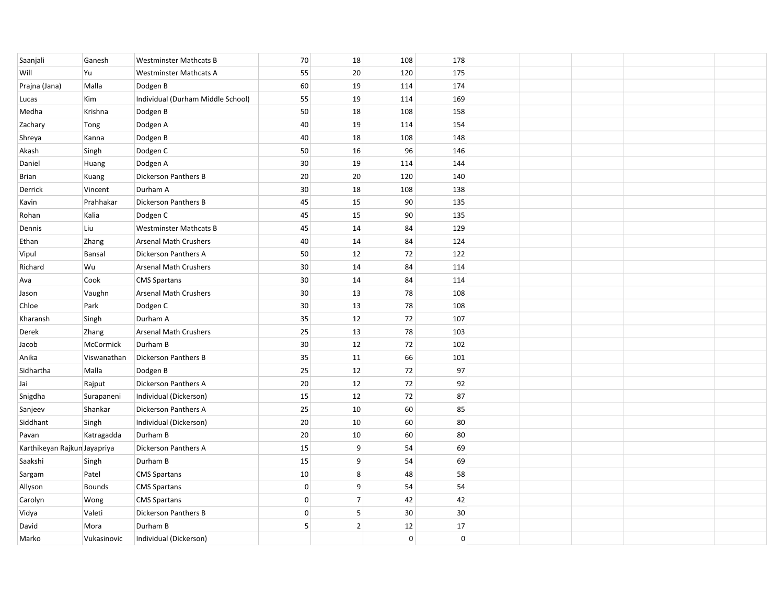| Saanjali                     | Ganesh        | <b>Westminster Mathcats B</b>     | 70          | $18\,$         | 108            | 178            |  |  |
|------------------------------|---------------|-----------------------------------|-------------|----------------|----------------|----------------|--|--|
| Will                         | Yu            | <b>Westminster Mathcats A</b>     | 55          | 20             | 120            | 175            |  |  |
| Prajna (Jana)                | Malla         | Dodgen B                          | 60          | 19             | 114            | 174            |  |  |
| Lucas                        | Kim           | Individual (Durham Middle School) | 55          | 19             | 114            | 169            |  |  |
| Medha                        | Krishna       | Dodgen B                          | 50          | 18             | 108            | 158            |  |  |
| Zachary                      | Tong          | Dodgen A                          | 40          | 19             | 114            | 154            |  |  |
| Shreya                       | Kanna         | Dodgen B                          | 40          | 18             | 108            | 148            |  |  |
| Akash                        | Singh         | Dodgen C                          | 50          | 16             | 96             | 146            |  |  |
| Daniel                       | Huang         | Dodgen A                          | $30\,$      | 19             | 114            | 144            |  |  |
| Brian                        | Kuang         | Dickerson Panthers B              | 20          | 20             | 120            | 140            |  |  |
| Derrick                      | Vincent       | Durham A                          | 30          | 18             | 108            | 138            |  |  |
| Kavin                        | Prahhakar     | <b>Dickerson Panthers B</b>       | 45          | 15             | 90             | 135            |  |  |
| Rohan                        | Kalia         | Dodgen C                          | 45          | 15             | 90             | 135            |  |  |
| Dennis                       | Liu           | <b>Westminster Mathcats B</b>     | 45          | 14             | 84             | 129            |  |  |
| Ethan                        | Zhang         | <b>Arsenal Math Crushers</b>      | 40          | 14             | 84             | 124            |  |  |
| Vipul                        | Bansal        | Dickerson Panthers A              | 50          | 12             | 72             | 122            |  |  |
| Richard                      | Wu            | <b>Arsenal Math Crushers</b>      | 30          | 14             | 84             | 114            |  |  |
| Ava                          | Cook          | <b>CMS Spartans</b>               | 30          | 14             | 84             | 114            |  |  |
| Jason                        | Vaughn        | <b>Arsenal Math Crushers</b>      | 30          | 13             | 78             | 108            |  |  |
| Chloe                        | Park          | Dodgen C                          | $30\,$      | 13             | 78             | 108            |  |  |
| Kharansh                     | Singh         | Durham A                          | 35          | 12             | 72             | 107            |  |  |
| Derek                        | Zhang         | <b>Arsenal Math Crushers</b>      | 25          | 13             | 78             | 103            |  |  |
| Jacob                        | McCormick     | Durham B                          | $30\,$      | 12             | 72             | 102            |  |  |
| Anika                        | Viswanathan   | Dickerson Panthers B              | 35          | 11             | 66             | 101            |  |  |
| Sidhartha                    | Malla         | Dodgen B                          | 25          | $12\,$         | $72\,$         | 97             |  |  |
| Jai                          | Rajput        | Dickerson Panthers A              | 20          | 12             | 72             | 92             |  |  |
| Snigdha                      | Surapaneni    | Individual (Dickerson)            | 15          | 12             | 72             | 87             |  |  |
| Sanjeev                      | Shankar       | <b>Dickerson Panthers A</b>       | 25          | 10             | 60             | 85             |  |  |
| Siddhant                     | Singh         | Individual (Dickerson)            | 20          | 10             | 60             | 80             |  |  |
| Pavan                        | Katragadda    | Durham B                          | 20          | 10             | 60             | 80             |  |  |
| Karthikeyan Rajkun Jayapriya |               | Dickerson Panthers A              | 15          | 9              | 54             | 69             |  |  |
| Saakshi                      | Singh         | Durham B                          | 15          | 9              | 54             | 69             |  |  |
| Sargam                       | Patel         | <b>CMS Spartans</b>               | 10          | $\bf 8$        | 48             | 58             |  |  |
| Allyson                      | <b>Bounds</b> | <b>CMS Spartans</b>               | $\mathsf 0$ | 9              | 54             | 54             |  |  |
| Carolyn                      | Wong          | <b>CMS Spartans</b>               | $\mathbf 0$ | $\overline{7}$ | 42             | 42             |  |  |
| Vidya                        | Valeti        | <b>Dickerson Panthers B</b>       | $\mathbf 0$ | 5              | 30             | 30             |  |  |
| David                        | Mora          | Durham B                          | 5           | $\overline{2}$ | 12             | 17             |  |  |
| Marko                        | Vukasinovic   | Individual (Dickerson)            |             |                | $\overline{0}$ | $\overline{0}$ |  |  |